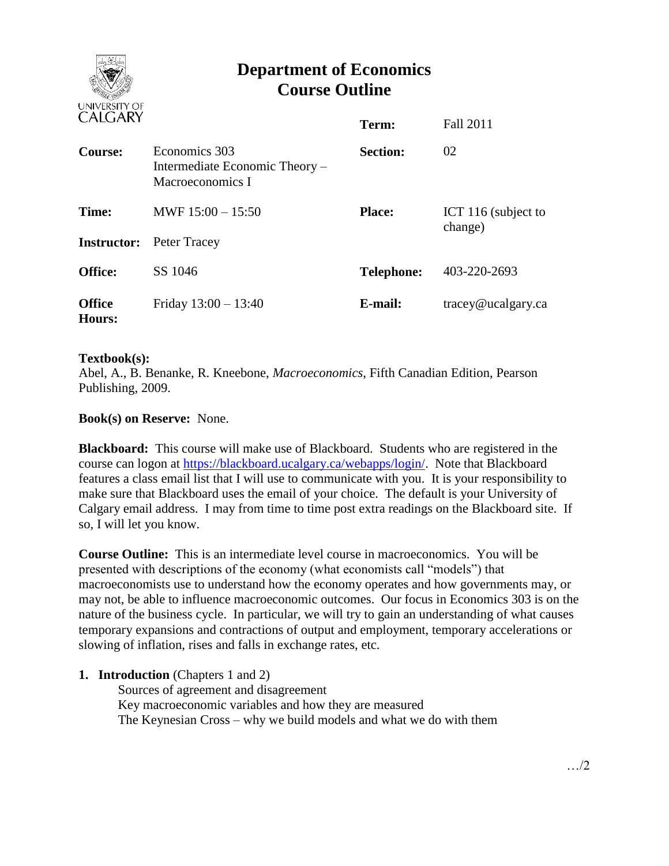

# **Department of Economics Course Outline**

| CALUANI                     |                                                                     | Term:             | Fall 2011                      |
|-----------------------------|---------------------------------------------------------------------|-------------------|--------------------------------|
| Course:                     | Economics 303<br>Intermediate Economic Theory –<br>Macroeconomics I | <b>Section:</b>   | 02                             |
| Time:<br><b>Instructor:</b> | MWF $15:00 - 15:50$<br>Peter Tracey                                 | <b>Place:</b>     | ICT 116 (subject to<br>change) |
| <b>Office:</b>              | SS 1046                                                             | <b>Telephone:</b> | 403-220-2693                   |
| <b>Office</b><br>Hours:     | Friday $13:00 - 13:40$                                              | E-mail:           | $trace\$ <i>e</i> ucalgary.ca  |

#### **Textbook(s):**

Abel, A., B. Benanke, R. Kneebone, *Macroeconomics*, Fifth Canadian Edition, Pearson Publishing, 2009.

## **Book(s) on Reserve:** None.

**Blackboard:** This course will make use of Blackboard. Students who are registered in the course can logon at [https://blackboard.ucalgary.ca/webapps/login/.](https://blackboard.ucalgary.ca/webapps/login/) Note that Blackboard features a class email list that I will use to communicate with you. It is your responsibility to make sure that Blackboard uses the email of your choice. The default is your University of Calgary email address. I may from time to time post extra readings on the Blackboard site. If so, I will let you know.

**Course Outline:** This is an intermediate level course in macroeconomics. You will be presented with descriptions of the economy (what economists call "models") that macroeconomists use to understand how the economy operates and how governments may, or may not, be able to influence macroeconomic outcomes. Our focus in Economics 303 is on the nature of the business cycle. In particular, we will try to gain an understanding of what causes temporary expansions and contractions of output and employment, temporary accelerations or slowing of inflation, rises and falls in exchange rates, etc.

#### **1. Introduction** (Chapters 1 and 2)

Sources of agreement and disagreement Key macroeconomic variables and how they are measured The Keynesian Cross – why we build models and what we do with them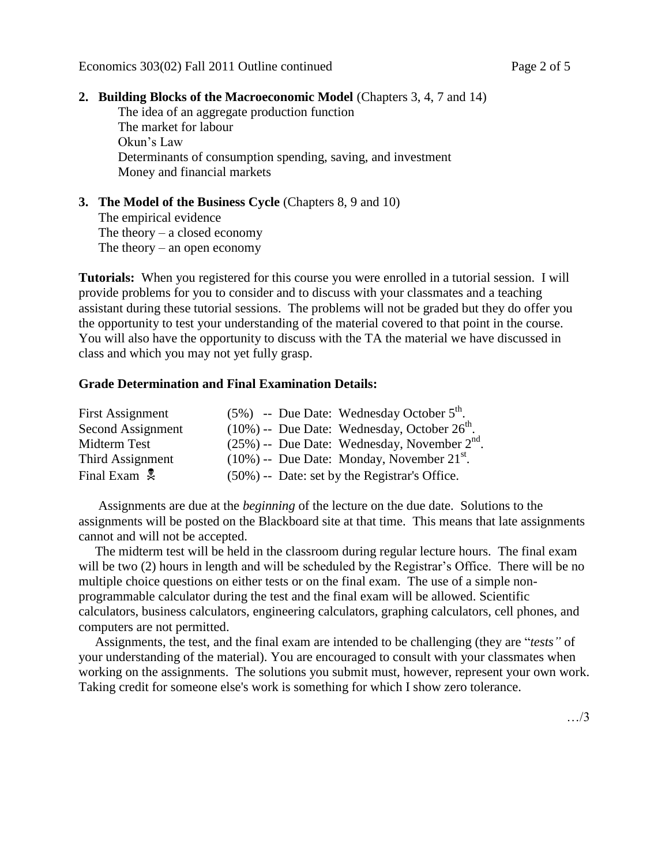## **2. Building Blocks of the Macroeconomic Model** (Chapters 3, 4, 7 and 14)

The idea of an aggregate production function The market for labour Okun's Law Determinants of consumption spending, saving, and investment Money and financial markets

#### **3. The Model of the Business Cycle** (Chapters 8, 9 and 10) The empirical evidence The theory  $-$  a closed economy The theory – an open economy

**Tutorials:** When you registered for this course you were enrolled in a tutorial session. I will provide problems for you to consider and to discuss with your classmates and a teaching assistant during these tutorial sessions. The problems will not be graded but they do offer you the opportunity to test your understanding of the material covered to that point in the course. You will also have the opportunity to discuss with the TA the material we have discussed in class and which you may not yet fully grasp.

#### **Grade Determination and Final Examination Details:**

| <b>First Assignment</b>  | $(5\%)$ -- Due Date: Wednesday October $5th$ .              |
|--------------------------|-------------------------------------------------------------|
| Second Assignment        | $(10\%)$ -- Due Date: Wednesday, October $26^{\text{th}}$ . |
| Midterm Test             | $(25\%)$ -- Due Date: Wednesday, November $2nd$ .           |
| Third Assignment         | $(10\%)$ -- Due Date: Monday, November 21 <sup>st</sup> .   |
| Final Exam $\frac{1}{2}$ | $(50\%)$ -- Date: set by the Registrar's Office.            |

 Assignments are due at the *beginning* of the lecture on the due date. Solutions to the assignments will be posted on the Blackboard site at that time. This means that late assignments cannot and will not be accepted.

 The midterm test will be held in the classroom during regular lecture hours. The final exam will be two (2) hours in length and will be scheduled by the Registrar's Office. There will be no multiple choice questions on either tests or on the final exam. The use of a simple nonprogrammable calculator during the test and the final exam will be allowed. Scientific calculators, business calculators, engineering calculators, graphing calculators, cell phones, and computers are not permitted.

 Assignments, the test, and the final exam are intended to be challenging (they are "*tests"* of your understanding of the material). You are encouraged to consult with your classmates when working on the assignments. The solutions you submit must, however, represent your own work. Taking credit for someone else's work is something for which I show zero tolerance.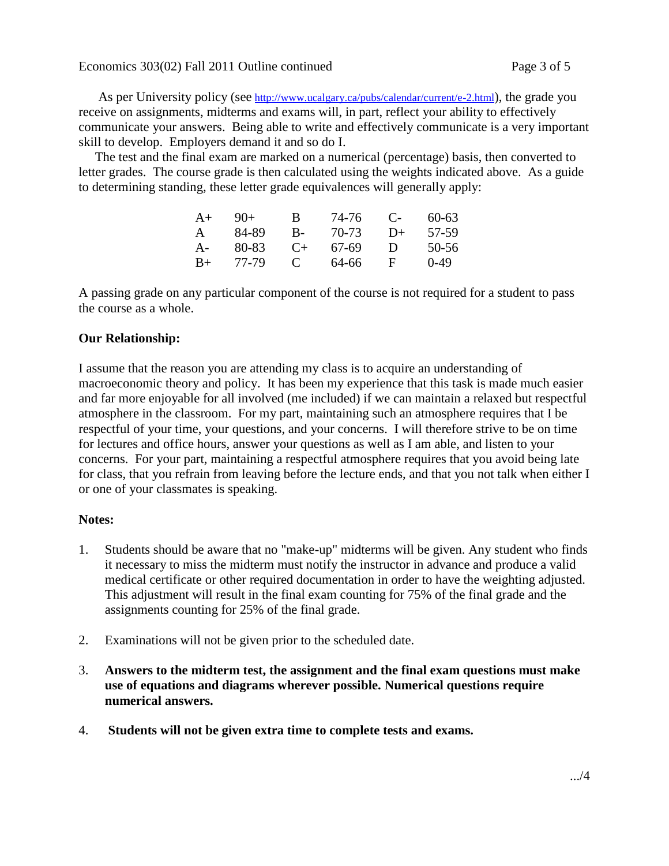As per University policy (see <http://www.ucalgary.ca/pubs/calendar/current/e-2.html>), the grade you receive on assignments, midterms and exams will, in part, reflect your ability to effectively communicate your answers. Being able to write and effectively communicate is a very important skill to develop. Employers demand it and so do I.

 The test and the final exam are marked on a numerical (percentage) basis, then converted to letter grades. The course grade is then calculated using the weights indicated above. As a guide to determining standing, these letter grade equivalences will generally apply:

| $A+$ | $9()+$ | В            | 74-76 | $\mathbf{C}$ | $60 - 63$ |
|------|--------|--------------|-------|--------------|-----------|
| A    | 84-89  | В-           | 70-73 | $D+$         | 57-59     |
| A-   | 80-83  | $($ +        | 67-69 | Ð            | 50-56     |
| $B+$ | 77-79  | $\mathbf{C}$ | 64-66 | н            | $0-49$    |

A passing grade on any particular component of the course is not required for a student to pass the course as a whole.

## **Our Relationship:**

I assume that the reason you are attending my class is to acquire an understanding of macroeconomic theory and policy. It has been my experience that this task is made much easier and far more enjoyable for all involved (me included) if we can maintain a relaxed but respectful atmosphere in the classroom. For my part, maintaining such an atmosphere requires that I be respectful of your time, your questions, and your concerns. I will therefore strive to be on time for lectures and office hours, answer your questions as well as I am able, and listen to your concerns. For your part, maintaining a respectful atmosphere requires that you avoid being late for class, that you refrain from leaving before the lecture ends, and that you not talk when either I or one of your classmates is speaking.

#### **Notes:**

- 1. Students should be aware that no "make-up" midterms will be given. Any student who finds it necessary to miss the midterm must notify the instructor in advance and produce a valid medical certificate or other required documentation in order to have the weighting adjusted. This adjustment will result in the final exam counting for 75% of the final grade and the assignments counting for 25% of the final grade.
- 2. Examinations will not be given prior to the scheduled date.
- 3. **Answers to the midterm test, the assignment and the final exam questions must make use of equations and diagrams wherever possible. Numerical questions require numerical answers.**
- 4. **Students will not be given extra time to complete tests and exams.**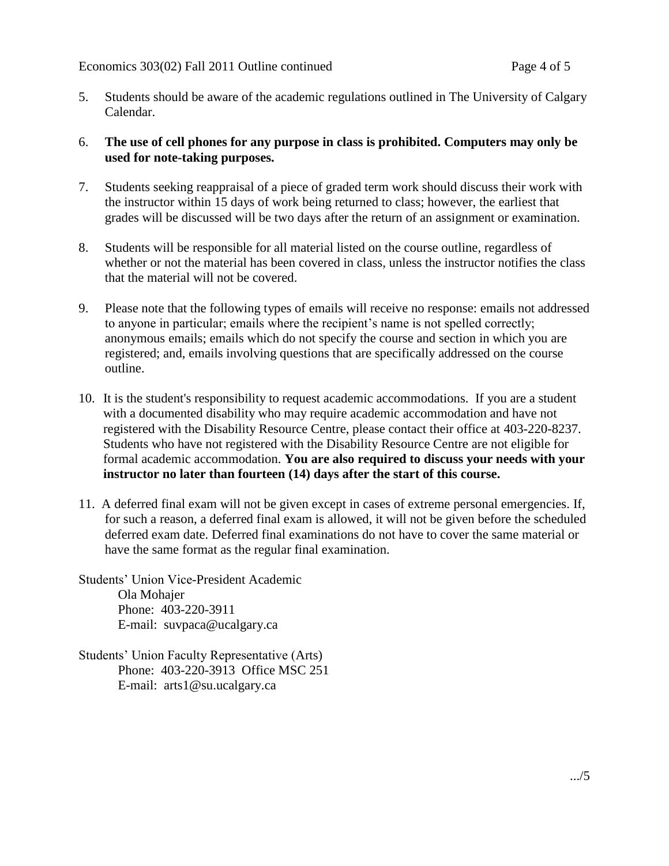5. Students should be aware of the academic regulations outlined in The University of Calgary Calendar.

## 6. **The use of cell phones for any purpose in class is prohibited. Computers may only be used for note-taking purposes.**

- 7. Students seeking reappraisal of a piece of graded term work should discuss their work with the instructor within 15 days of work being returned to class; however, the earliest that grades will be discussed will be two days after the return of an assignment or examination.
- 8. Students will be responsible for all material listed on the course outline, regardless of whether or not the material has been covered in class, unless the instructor notifies the class that the material will not be covered.
- 9. Please note that the following types of emails will receive no response: emails not addressed to anyone in particular; emails where the recipient's name is not spelled correctly; anonymous emails; emails which do not specify the course and section in which you are registered; and, emails involving questions that are specifically addressed on the course outline.
- 10. It is the student's responsibility to request academic accommodations. If you are a student with a documented disability who may require academic accommodation and have not registered with the Disability Resource Centre, please contact their office at 403-220-8237. Students who have not registered with the Disability Resource Centre are not eligible for formal academic accommodation. **You are also required to discuss your needs with your instructor no later than fourteen (14) days after the start of this course.**
- 11. A deferred final exam will not be given except in cases of extreme personal emergencies. If, for such a reason, a deferred final exam is allowed, it will not be given before the scheduled deferred exam date. Deferred final examinations do not have to cover the same material or have the same format as the regular final examination.

Students' Union Vice-President Academic Ola Mohajer Phone: 403-220-3911 E-mail: suvpaca@ucalgary.ca

Students' Union Faculty Representative (Arts) Phone: 403-220-3913 Office MSC 251 E-mail: arts1@su.ucalgary.ca